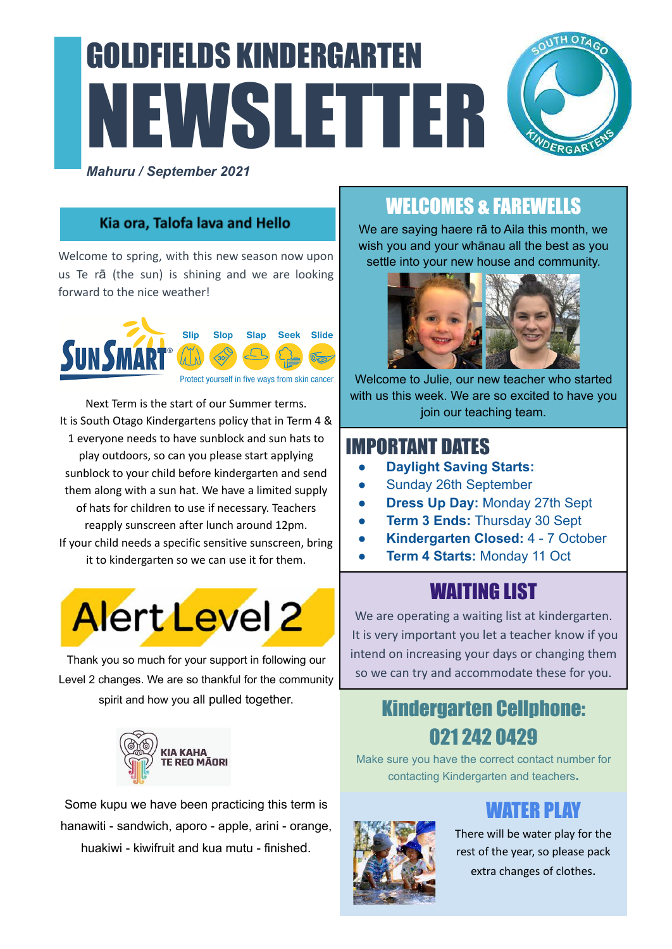# GOLDFIELDS KINDERGARTEN NEWSLETTER *Mahuru / September 2021*



#### Kia ora, Talofa lava and Hello

Welcome to spring, with this new season now upon us Te rā (the sun) is shining and we are looking forward to the nice weather!



Next Term is the start of our Summer terms. It is South Otago Kindergartens policy that in Term 4 & 1 everyone needs to have sunblock and sun hats to play outdoors, so can you please start applying sunblock to your child before kindergarten and send them along with a sun hat. We have a limited supply of hats for children to use if necessary. Teachers reapply sunscreen after lunch around 12pm. If your child needs a specific sensitive sunscreen, bring it to kindergarten so we can use it for them.



Thank you so much for your support in following our Level 2 changes. We are so thankful for the community spirit and how you all pulled together.



Some kupu we have been practicing this term is hanawiti - sandwich, aporo - apple, arini - orange, huakiwi - kiwifruit and kua mutu - finished.

## WELCOMES & FAREWELLS

We are saying haere rā to Aila this month, we wish you and your whānau all the best as you settle into your new house and community.



Welcome to Julie, our new teacher who started with us this week. We are so excited to have you join our teaching team.

#### IMPORTANT DATES

- **Daylight Saving Starts:**
- Sunday 26th September
- **Dress Up Day: Monday 27th Sept**
- **Term 3 Ends: Thursday 30 Sept**
- **Kindergarten Closed:** 4 7 October
- **Term 4 Starts: Monday 11 Oct**

## WAITING LIST

We are operating a waiting list at kindergarten. It is very important you let a teacher know if you intend on increasing your days or changing them so we can try and accommodate these for you.

## Kindergarten Cellphone: 021 242 0429

Make sure you have the correct contact number for contacting Kindergarten and teachers**.**



### WATER PLAY

There will be water play for the rest of the year, so please pack

extra changes of clothes.